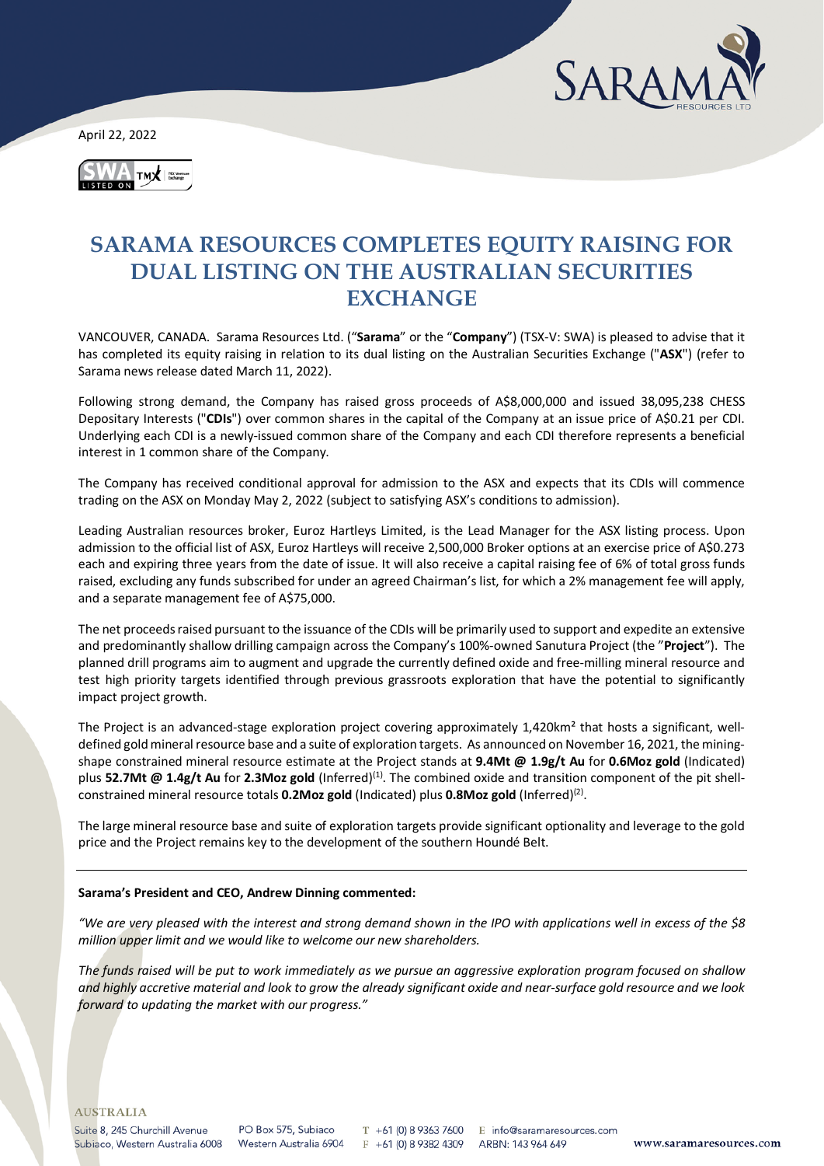

April 22, 2022



# **SARAMA RESOURCES COMPLETES EQUITY RAISING FOR DUAL LISTING ON THE AUSTRALIAN SECURITIES EXCHANGE**

VANCOUVER, CANADA. Sarama Resources Ltd. ("**Sarama**" or the "**Company**") (TSX-V: SWA) is pleased to advise that it has completed its equity raising in relation to its dual listing on the Australian Securities Exchange ("**ASX**") (refer to Sarama news release dated March 11, 2022).

Following strong demand, the Company has raised gross proceeds of A\$8,000,000 and issued 38,095,238 CHESS Depositary Interests ("**CDIs**") over common shares in the capital of the Company at an issue price of A\$0.21 per CDI. Underlying each CDI is a newly-issued common share of the Company and each CDI therefore represents a beneficial interest in 1 common share of the Company.

The Company has received conditional approval for admission to the ASX and expects that its CDIs will commence trading on the ASX on Monday May 2, 2022 (subject to satisfying ASX's conditions to admission).

Leading Australian resources broker, Euroz Hartleys Limited, is the Lead Manager for the ASX listing process. Upon admission to the official list of ASX, Euroz Hartleys will receive 2,500,000 Broker options at an exercise price of A\$0.273 each and expiring three years from the date of issue. It will also receive a capital raising fee of 6% of total gross funds raised, excluding any funds subscribed for under an agreed Chairman's list, for which a 2% management fee will apply, and a separate management fee of A\$75,000.

The net proceeds raised pursuant to the issuance of the CDIs will be primarily used to support and expedite an extensive and predominantly shallow drilling campaign across the Company's 100%-owned Sanutura Project (the "**Project**"). The planned drill programs aim to augment and upgrade the currently defined oxide and free-milling mineral resource and test high priority targets identified through previous grassroots exploration that have the potential to significantly impact project growth.

The Project is an advanced-stage exploration project covering approximately 1,420km² that hosts a significant, welldefined gold mineral resource base and a suite of exploration targets. As announced on November 16, 2021, the miningshape constrained mineral resource estimate at the Project stands at **9.4Mt @ 1.9g/t Au** for **0.6Moz gold** (Indicated) plus **52.7Mt @ 1.4g/t Au** for **2.3Moz gold** (Inferred)(1). The combined oxide and transition component of the pit shellconstrained mineral resource totals **0.2Moz gold** (Indicated) plus **0.8Moz gold** (Inferred)<sup>(2)</sup>.

The large mineral resource base and suite of exploration targets provide significant optionality and leverage to the gold price and the Project remains key to the development of the southern Houndé Belt.

### **Sarama's President and CEO, Andrew Dinning commented:**

*"We are very pleased with the interest and strong demand shown in the IPO with applications well in excess of the \$8 million upper limit and we would like to welcome our new shareholders.*

*The funds raised will be put to work immediately as we pursue an aggressive exploration program focused on shallow and highly accretive material and look to grow the already significant oxide and near-surface gold resource and we look forward to updating the market with our progress."*

Suite 8, 245 Churchill Avenue Subiaco, Western Australia 6008

PO Box 575, Subjaco Western Australia 6904

T +61 (0) 8 9363 7600 E info@saramaresources.com  $F + 61(0) 893824309$ 

ARBN: 143 964 649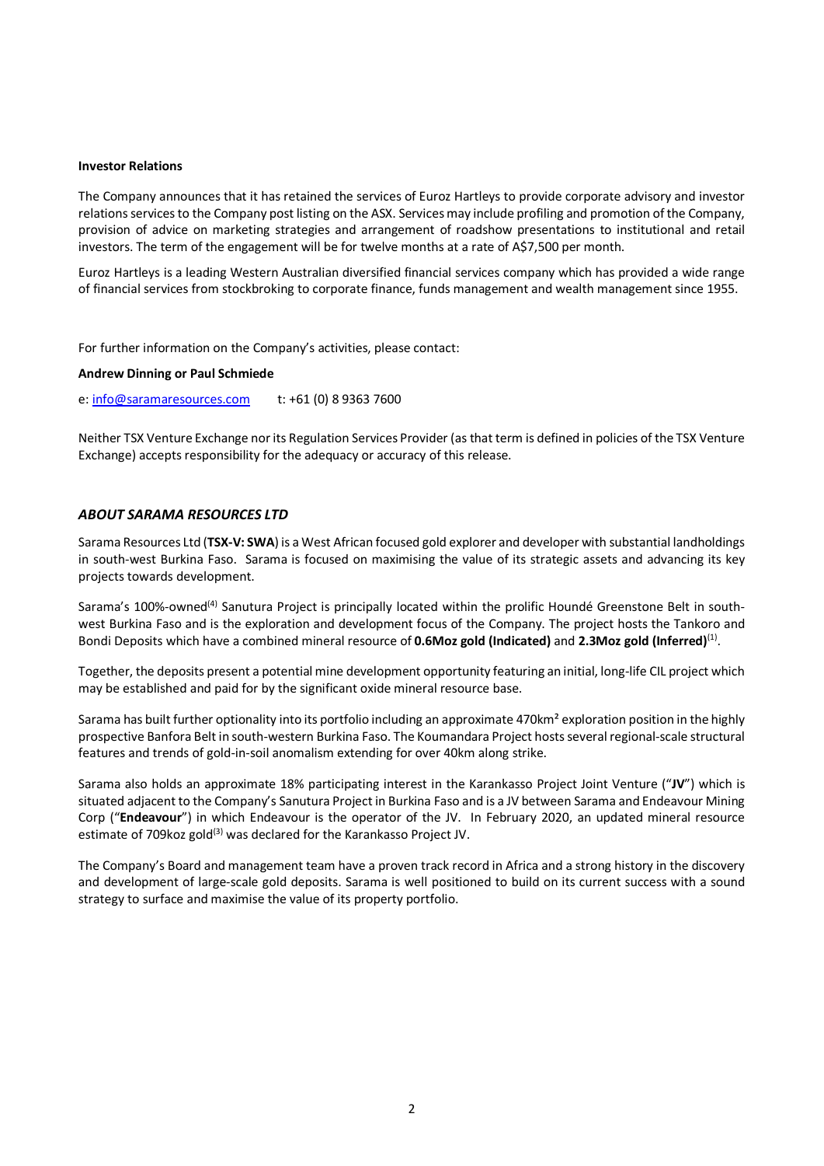#### **Investor Relations**

The Company announces that it has retained the services of Euroz Hartleys to provide corporate advisory and investor relations services to the Company post listing on the ASX. Services may include profiling and promotion of the Company, provision of advice on marketing strategies and arrangement of roadshow presentations to institutional and retail investors. The term of the engagement will be for twelve months at a rate of A\$7,500 per month.

Euroz Hartleys is a leading Western Australian diversified financial services company which has provided a wide range of financial services from stockbroking to corporate finance, funds management and wealth management since 1955.

For further information on the Company's activities, please contact:

#### **Andrew Dinning or Paul Schmiede**

e[: info@saramaresources.com](mailto:info@saramaresources.com) t: +61 (0) 8 9363 7600

Neither TSX Venture Exchange nor its Regulation Services Provider (as that term is defined in policies of the TSX Venture Exchange) accepts responsibility for the adequacy or accuracy of this release.

# *ABOUT SARAMA RESOURCES LTD*

Sarama Resources Ltd (**TSX-V: SWA**) is a West African focused gold explorer and developer with substantial landholdings in south-west Burkina Faso. Sarama is focused on maximising the value of its strategic assets and advancing its key projects towards development.

Sarama's 100%-owned<sup>(4)</sup> Sanutura Project is principally located within the prolific Houndé Greenstone Belt in southwest Burkina Faso and is the exploration and development focus of the Company. The project hosts the Tankoro and Bondi Deposits which have a combined mineral resource of **0.6Moz gold (Indicated)** and **2.3Moz gold (Inferred)**(1).

Together, the deposits present a potential mine development opportunity featuring an initial, long-life CIL project which may be established and paid for by the significant oxide mineral resource base.

Sarama has built further optionality into its portfolio including an approximate 470km² exploration position in the highly prospective Banfora Belt in south-western Burkina Faso. The Koumandara Project hosts several regional-scale structural features and trends of gold-in-soil anomalism extending for over 40km along strike.

Sarama also holds an approximate 18% participating interest in the Karankasso Project Joint Venture ("**JV**") which is situated adjacent to the Company's Sanutura Project in Burkina Faso and is a JV between Sarama and Endeavour Mining Corp ("**Endeavour**") in which Endeavour is the operator of the JV. In February 2020, an updated mineral resource estimate of 709 koz gold<sup>(3)</sup> was declared for the Karankasso Project JV.

The Company's Board and management team have a proven track record in Africa and a strong history in the discovery and development of large-scale gold deposits. Sarama is well positioned to build on its current success with a sound strategy to surface and maximise the value of its property portfolio.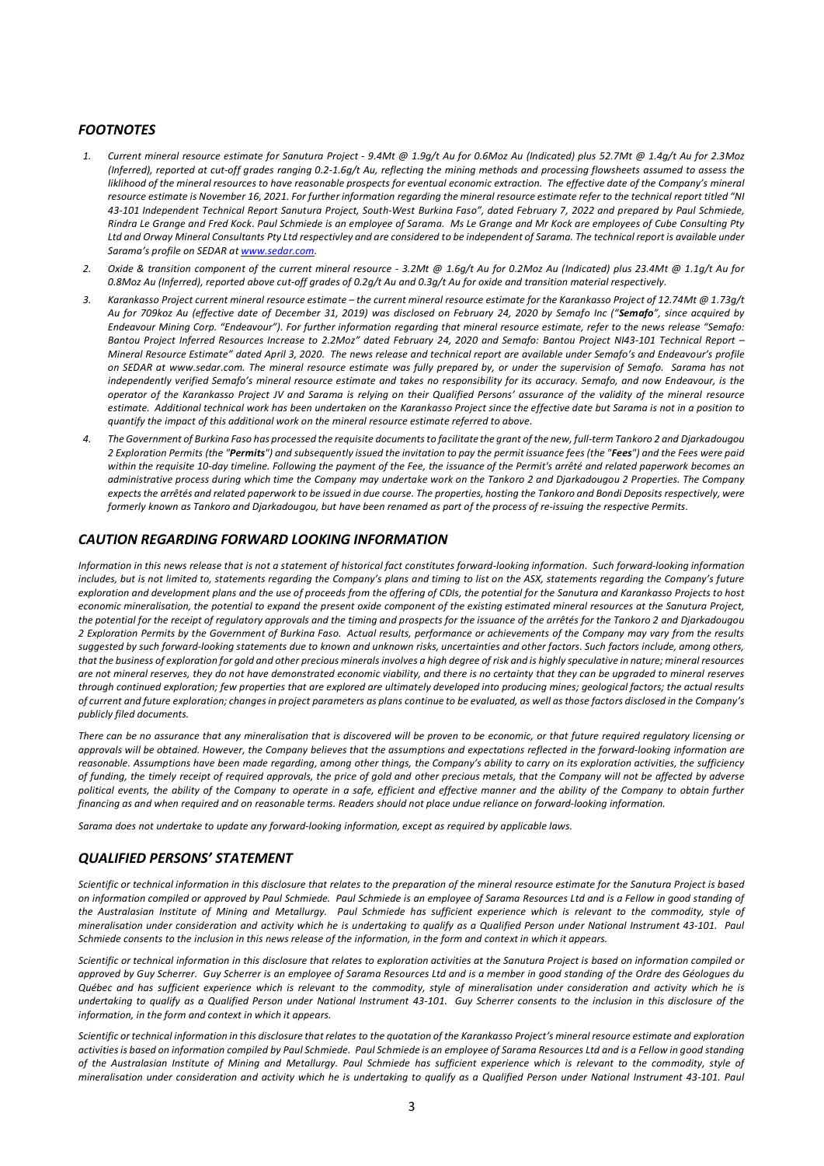# *FOOTNOTES*

- *1. Current mineral resource estimate for Sanutura Project - 9.4Mt @ 1.9g/t Au for 0.6Moz Au (Indicated) plus 52.7Mt @ 1.4g/t Au for 2.3Moz (Inferred), reported at cut-off grades ranging 0.2-1.6g/t Au, reflecting the mining methods and processing flowsheets assumed to assess the*  liklihood of the mineral resources to have reasonable prospects for eventual economic extraction. The effective date of the Company's mineral *resource estimate is November 16, 2021. For further information regarding the mineral resource estimate refer to the technical report titled "NI 43-101 Independent Technical Report Sanutura Project, South-West Burkina Faso", dated February 7, 2022 and prepared by Paul Schmiede, Rindra Le Grange and Fred Kock. Paul Schmiede is an employee of Sarama. Ms Le Grange and Mr Kock are employees of Cube Consulting Pty Ltd and Orway Mineral Consultants Pty Ltd respectivley and are considered to be independent of Sarama. The technical report is available under Sarama's profile on SEDAR a[t www.sedar.com.](http://www.sedar.com/)*
- *2. Oxide & transition component of the current mineral resource - 3.2Mt @ 1.6g/t Au for 0.2Moz Au (Indicated) plus 23.4Mt @ 1.1g/t Au for 0.8Moz Au (Inferred), reported above cut-off grades of 0.2g/t Au and 0.3g/t Au for oxide and transition material respectively.*
- *3. Karankasso Project current mineral resource estimate – the current mineral resource estimate for the Karankasso Project of 12.74Mt @ 1.73g/t Au for 709koz Au (effective date of December 31, 2019) was disclosed on February 24, 2020 by Semafo Inc ("Semafo", since acquired by Endeavour Mining Corp. "Endeavour"). For further information regarding that mineral resource estimate, refer to the news release "Semafo: Bantou Project Inferred Resources Increase to 2.2Moz" dated February 24, 2020 and Semafo: Bantou Project NI43-101 Technical Report – Mineral Resource Estimate" dated April 3, 2020. The news release and technical report are available under Semafo's and Endeavour's profile on SEDAR at [www.sedar.com.](http://www.sedar.com/) The mineral resource estimate was fully prepared by, or under the supervision of Semafo. Sarama has not independently verified Semafo's mineral resource estimate and takes no responsibility for its accuracy. Semafo, and now Endeavour, is the operator of the Karankasso Project JV and Sarama is relying on their Qualified Persons' assurance of the validity of the mineral resource estimate. Additional technical work has been undertaken on the Karankasso Project since the effective date but Sarama is not in a position to quantify the impact of this additional work on the mineral resource estimate referred to above.*
- *4. The Government of Burkina Faso has processed the requisite documents to facilitate the grant of the new, full-term Tankoro 2 and Djarkadougou 2 Exploration Permits (the "Permits") and subsequently issued the invitation to pay the permit issuance fees (the "Fees") and the Fees were paid within the requisite 10-day timeline. Following the payment of the Fee, the issuance of the Permit's arrêté and related paperwork becomes an administrative process during which time the Company may undertake work on the Tankoro 2 and Djarkadougou 2 Properties. The Company expects the arrêtés and related paperwork to be issued in due course. The properties, hosting the Tankoro and Bondi Deposits respectively, were formerly known as Tankoro and Djarkadougou, but have been renamed as part of the process of re-issuing the respective Permits.*

### *CAUTION REGARDING FORWARD LOOKING INFORMATION*

*Information in this news release that is not a statement of historical fact constitutes forward-looking information. Such forward-looking information includes, but is not limited to, statements regarding the Company's plans and timing to list on the ASX, statements regarding the Company's future exploration and development plans and the use of proceeds from the offering of CDIs, the potential for the Sanutura and Karankasso Projects to host economic mineralisation, the potential to expand the present oxide component of the existing estimated mineral resources at the Sanutura Project, the potential for the receipt of regulatory approvals and the timing and prospects for the issuance of the arrêtés for the Tankoro 2 and Djarkadougou 2 Exploration Permits by the Government of Burkina Faso. Actual results, performance or achievements of the Company may vary from the results suggested by such forward-looking statements due to known and unknown risks, uncertainties and other factors. Such factors include, among others, that the business of exploration for gold and other precious minerals involves a high degree of risk and is highly speculative in nature; mineral resources are not mineral reserves, they do not have demonstrated economic viability, and there is no certainty that they can be upgraded to mineral reserves through continued exploration; few properties that are explored are ultimately developed into producing mines; geological factors; the actual results of current and future exploration; changes in project parameters as plans continue to be evaluated, as well as those factors disclosed in the Company's publicly filed documents.*

*There can be no assurance that any mineralisation that is discovered will be proven to be economic, or that future required regulatory licensing or approvals will be obtained. However, the Company believes that the assumptions and expectations reflected in the forward-looking information are reasonable. Assumptions have been made regarding, among other things, the Company's ability to carry on its exploration activities, the sufficiency of funding, the timely receipt of required approvals, the price of gold and other precious metals, that the Company will not be affected by adverse political events, the ability of the Company to operate in a safe, efficient and effective manner and the ability of the Company to obtain further financing as and when required and on reasonable terms. Readers should not place undue reliance on forward-looking information.*

*Sarama does not undertake to update any forward-looking information, except as required by applicable laws.*

# *QUALIFIED PERSONS' STATEMENT*

*Scientific or technical information in this disclosure that relates to the preparation of the mineral resource estimate for the Sanutura Project is based on information compiled or approved by Paul Schmiede. Paul Schmiede is an employee of Sarama Resources Ltd and is a Fellow in good standing of the Australasian Institute of Mining and Metallurgy. Paul Schmiede has sufficient experience which is relevant to the commodity, style of mineralisation under consideration and activity which he is undertaking to qualify as a Qualified Person under National Instrument 43-101. Paul Schmiede consents to the inclusion in this news release of the information, in the form and context in which it appears.*

*Scientific or technical information in this disclosure that relates to exploration activities at the Sanutura Project is based on information compiled or approved by Guy Scherrer. Guy Scherrer is an employee of Sarama Resources Ltd and is a member in good standing of the Ordre des Géologues du Québec and has sufficient experience which is relevant to the commodity, style of mineralisation under consideration and activity which he is undertaking to qualify as a Qualified Person under National Instrument 43-101. Guy Scherrer consents to the inclusion in this disclosure of the information, in the form and context in which it appears.*

*Scientific or technical information in this disclosure that relates to the quotation of the Karankasso Project's mineral resource estimate and exploration activities is based on information compiled by Paul Schmiede. Paul Schmiede is an employee of Sarama Resources Ltd and is a Fellow in good standing of the Australasian Institute of Mining and Metallurgy. Paul Schmiede has sufficient experience which is relevant to the commodity, style of mineralisation under consideration and activity which he is undertaking to qualify as a Qualified Person under National Instrument 43-101. Paul*